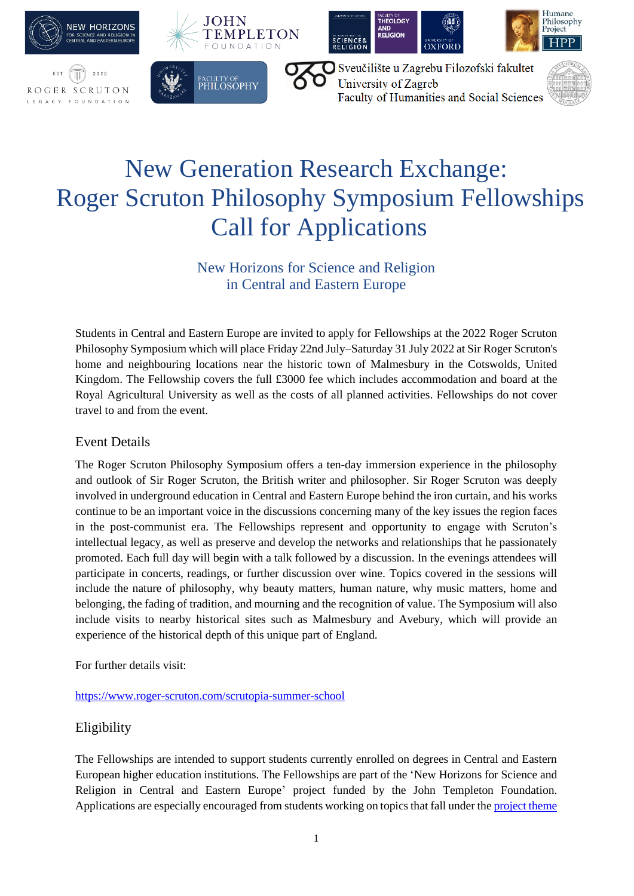

# New Generation Research Exchange: Roger Scruton Philosophy Symposium Fellowships Call for Applications

New Horizons for Science and Religion in Central and Eastern Europe

Students in Central and Eastern Europe are invited to apply for Fellowships at the 2022 Roger Scruton Philosophy Symposium which will place Friday 22nd July–Saturday 31 July 2022 at Sir Roger Scruton's home and neighbouring locations near the historic town of Malmesbury in the Cotswolds, United Kingdom. The Fellowship covers the full £3000 fee which includes accommodation and board at the Royal Agricultural University as well as the costs of all planned activities. Fellowships do not cover travel to and from the event.

# Event Details

The Roger Scruton Philosophy Symposium offers a ten-day immersion experience in the philosophy and outlook of Sir Roger Scruton, the British writer and philosopher. Sir Roger Scruton was deeply involved in underground education in Central and Eastern Europe behind the iron curtain, and his works continue to be an important voice in the discussions concerning many of the key issues the region faces in the post-communist era. The Fellowships represent and opportunity to engage with Scruton's intellectual legacy, as well as preserve and develop the networks and relationships that he passionately promoted. Each full day will begin with a talk followed by a discussion. In the evenings attendees will participate in concerts, readings, or further discussion over wine. Topics covered in the sessions will include the nature of philosophy, why beauty matters, human nature, why music matters, home and belonging, the fading of tradition, and mourning and the recognition of value. The Symposium will also include visits to nearby historical sites such as Malmesbury and Avebury, which will provide an experience of the historical depth of this unique part of England.

For further details visit:

### <https://www.roger-scruton.com/scrutopia-summer-school>

# Eligibility

The Fellowships are intended to support students currently enrolled on degrees in Central and Eastern European higher education institutions. The Fellowships are part of the 'New Horizons for Science and Religion in Central and Eastern Europe' project funded by the John Templeton Foundation. Applications are especially encouraged from students working on topics that fall under the [project theme](https://cee.ianramseycentre.ox.ac.uk/research)